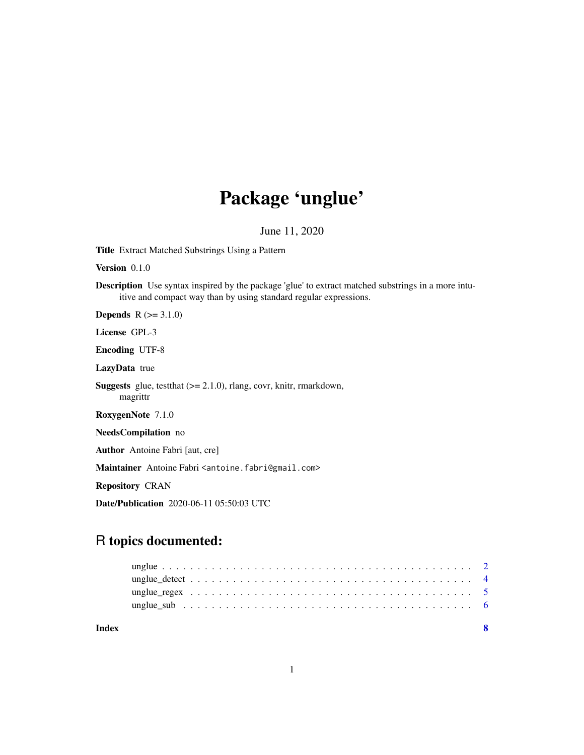# Package 'unglue'

June 11, 2020

Title Extract Matched Substrings Using a Pattern

Version 0.1.0

Description Use syntax inspired by the package 'glue' to extract matched substrings in a more intuitive and compact way than by using standard regular expressions.

**Depends**  $R (= 3.1.0)$ 

License GPL-3

Encoding UTF-8

LazyData true

Suggests glue, testthat (>= 2.1.0), rlang, covr, knitr, rmarkdown, magrittr

RoxygenNote 7.1.0

NeedsCompilation no

Author Antoine Fabri [aut, cre]

Maintainer Antoine Fabri <antoine.fabri@gmail.com>

Repository CRAN

Date/Publication 2020-06-11 05:50:03 UTC

# R topics documented:

| Index |                                                                                                                    |  |  |  |  |  |  |  |  |  |  |  |  |  |  |  |
|-------|--------------------------------------------------------------------------------------------------------------------|--|--|--|--|--|--|--|--|--|--|--|--|--|--|--|
|       | unglue sub $\dots \dots \dots \dots \dots \dots \dots \dots \dots \dots \dots \dots \dots \dots \dots \dots \dots$ |  |  |  |  |  |  |  |  |  |  |  |  |  |  |  |
|       |                                                                                                                    |  |  |  |  |  |  |  |  |  |  |  |  |  |  |  |
|       |                                                                                                                    |  |  |  |  |  |  |  |  |  |  |  |  |  |  |  |
|       |                                                                                                                    |  |  |  |  |  |  |  |  |  |  |  |  |  |  |  |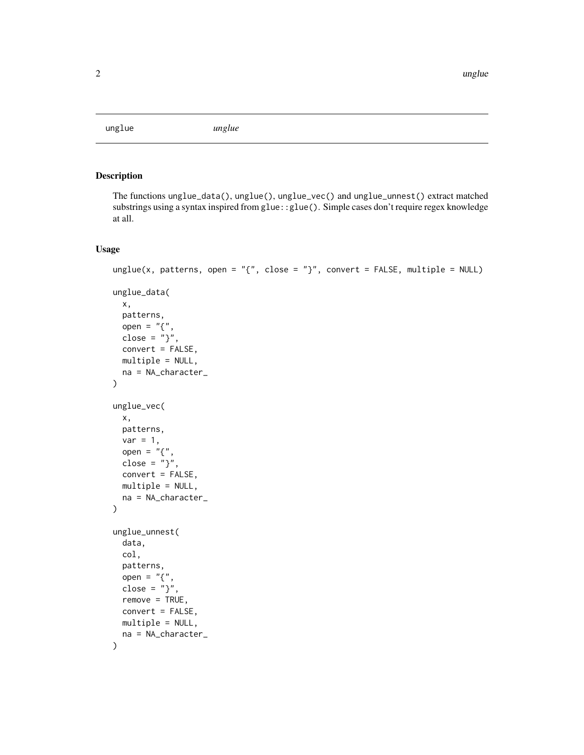<span id="page-1-0"></span>unglue *unglue*

### Description

The functions unglue\_data(), unglue(), unglue\_vec() and unglue\_unnest() extract matched substrings using a syntax inspired from glue::glue(). Simple cases don't require regex knowledge at all.

#### Usage

```
unglue(x, patterns, open = "{\}, close = "}", convert = FALSE, multiple = NULL)
unglue_data(
  x,
  patterns,
  open = "{\cdot}",
  close = "}",
  convert = FALSE,multiple = NULL,
  na = NA_character_
\mathcal{L}unglue_vec(
  x,
  patterns,
  var = 1,
  open = \frac{1}{n} {",
  close = "}",
  convert = FALSE,multiple = NULL,
  na = NA_character_
\mathcal{L}unglue_unnest(
  data,
  col,
  patterns,
  open = "{",
  close = "}",
  remove = TRUE,
  convert = FALSE,
  multiple = NULL,
  na = NA_character_
\mathcal{L}
```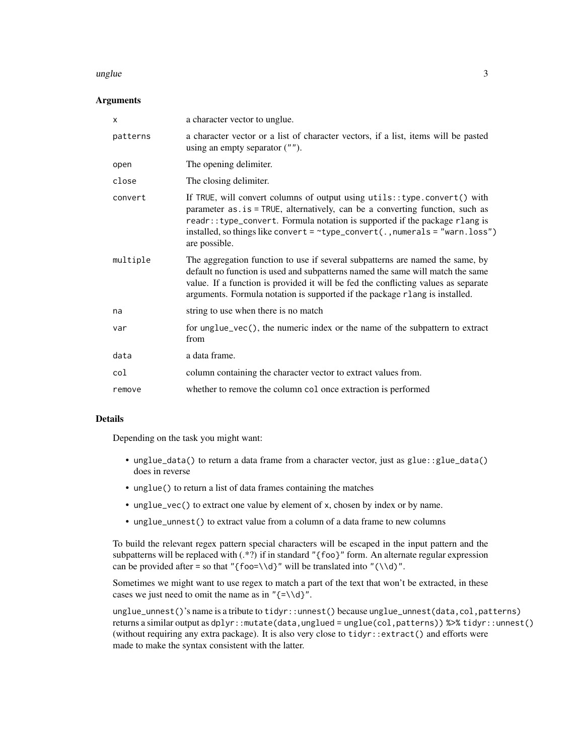#### unglue 3

#### **Arguments**

| $\times$ | a character vector to unglue.                                                                                                                                                                                                                                                                                                                     |
|----------|---------------------------------------------------------------------------------------------------------------------------------------------------------------------------------------------------------------------------------------------------------------------------------------------------------------------------------------------------|
| patterns | a character vector or a list of character vectors, if a list, items will be pasted<br>using an empty separator $("")$ .                                                                                                                                                                                                                           |
| open     | The opening delimiter.                                                                                                                                                                                                                                                                                                                            |
| close    | The closing delimiter.                                                                                                                                                                                                                                                                                                                            |
| convert  | If TRUE, will convert columns of output using utils:: type.convert() with<br>parameter as . is = TRUE, alternatively, can be a converting function, such as<br>readr:: type_convert. Formula notation is supported if the package rlang is<br>installed, so things like convert = $\sim$ type_convert(., numerals = "warn.loss")<br>are possible. |
| multiple | The aggregation function to use if several subpatterns are named the same, by<br>default no function is used and subpatterns named the same will match the same<br>value. If a function is provided it will be fed the conflicting values as separate<br>arguments. Formula notation is supported if the package rlang is installed.              |
| na       | string to use when there is no match                                                                                                                                                                                                                                                                                                              |
| var      | for unglue_vec(), the numeric index or the name of the subpattern to extract<br>from                                                                                                                                                                                                                                                              |
| data     | a data frame.                                                                                                                                                                                                                                                                                                                                     |
| col      | column containing the character vector to extract values from.                                                                                                                                                                                                                                                                                    |
| remove   | whether to remove the column col once extraction is performed                                                                                                                                                                                                                                                                                     |

#### Details

Depending on the task you might want:

- unglue\_data() to return a data frame from a character vector, just as glue::glue\_data() does in reverse
- unglue() to return a list of data frames containing the matches
- unglue\_vec() to extract one value by element of x, chosen by index or by name.
- unglue\_unnest() to extract value from a column of a data frame to new columns

To build the relevant regex pattern special characters will be escaped in the input pattern and the subpatterns will be replaced with  $(*?)$  if in standard "{foo}" form. An alternate regular expression can be provided after = so that "{foo=\\d}" will be translated into "(\\d)".

Sometimes we might want to use regex to match a part of the text that won't be extracted, in these cases we just need to omit the name as in " $\{\neq\ldots\}$ ".

unglue\_unnest()'s name is a tribute to tidyr::unnest() because unglue\_unnest(data,col,patterns) returns a similar output as dplyr::mutate(data,unglued = unglue(col,patterns)) %>% tidyr::unnest() (without requiring any extra package). It is also very close to tidyr::extract() and efforts were made to make the syntax consistent with the latter.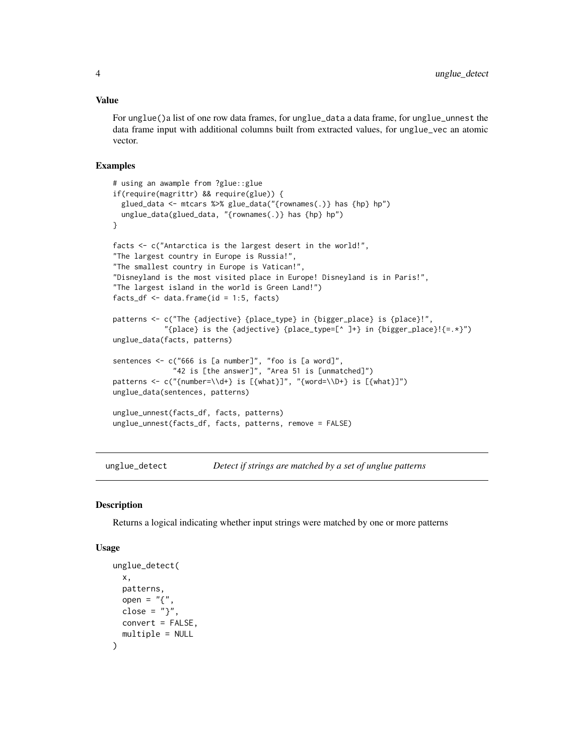#### <span id="page-3-0"></span>Value

For unglue()a list of one row data frames, for unglue\_data a data frame, for unglue\_unnest the data frame input with additional columns built from extracted values, for unglue\_vec an atomic vector.

#### Examples

```
# using an awample from ?glue::glue
if(require(magrittr) && require(glue)) {
 glued_data <- mtcars %>% glue_data("{rownames(.)} has {hp} hp")
 unglue_data(glued_data, "{rownames(.)} has {hp} hp")
}
facts <- c("Antarctica is the largest desert in the world!",
"The largest country in Europe is Russia!",
"The smallest country in Europe is Vatican!"
"Disneyland is the most visited place in Europe! Disneyland is in Paris!",
"The largest island in the world is Green Land!")
facts_df \leftarrow data.frame(id = 1:5, facts)patterns <- c("The {adjective} {place_type} in {bigger_place} is {place}!",
            "{place} is the {adjective} {place_type=[^ ]+} in {bigger_place}!{=.*}")
unglue_data(facts, patterns)
sentences <- c("666 is [a number]", "foo is [a word]",
              "42 is [the answer]", "Area 51 is [unmatched]")
patterns <- c("{number=\\d+} is [{what}]", "{word=\\D+} is [{what}]")
unglue_data(sentences, patterns)
unglue_unnest(facts_df, facts, patterns)
unglue_unnest(facts_df, facts, patterns, remove = FALSE)
```
unglue\_detect *Detect if strings are matched by a set of unglue patterns*

#### Description

Returns a logical indicating whether input strings were matched by one or more patterns

#### Usage

```
unglue_detect(
 x,
 patterns,
 open = "{",
  close = "\}.
 convert = FALSE,
  multiple = NULL
)
```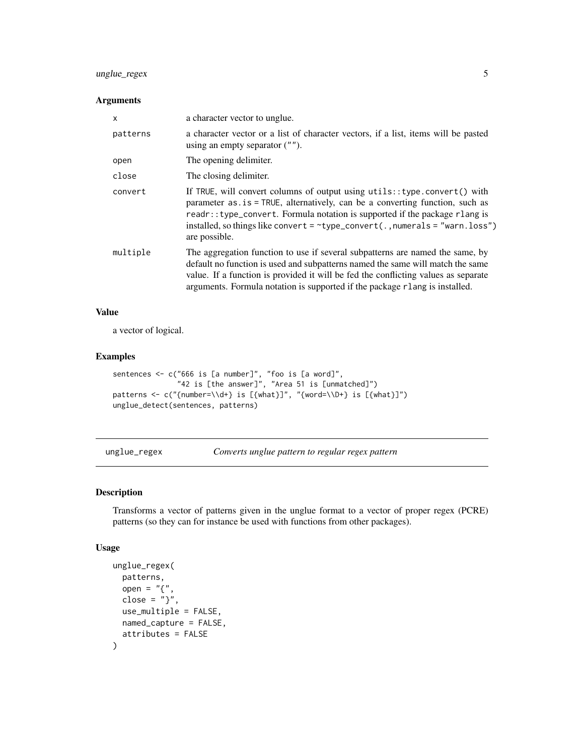# <span id="page-4-0"></span>unglue\_regex 5

#### Arguments

| $\mathsf{x}$ | a character vector to unglue.                                                                                                                                                                                                                                                                                                                       |
|--------------|-----------------------------------------------------------------------------------------------------------------------------------------------------------------------------------------------------------------------------------------------------------------------------------------------------------------------------------------------------|
| patterns     | a character vector or a list of character vectors, if a list, items will be pasted<br>using an empty separator $("")$ .                                                                                                                                                                                                                             |
| open         | The opening delimiter.                                                                                                                                                                                                                                                                                                                              |
| close        | The closing delimiter.                                                                                                                                                                                                                                                                                                                              |
| convert      | If TRUE, will convert columns of output using utils:: type.convert() with<br>parameter as is = TRUE, alternatively, can be a converting function, such as<br>readr:: type_convert. Formula notation is supported if the package rlang is<br>installed, so things like convert = $\text{type\_convert}($ ., numerals = "warn.loss")<br>are possible. |
| multiple     | The aggregation function to use if several subpatterns are named the same, by<br>default no function is used and subpatterns named the same will match the same<br>value. If a function is provided it will be fed the conflicting values as separate<br>arguments. Formula notation is supported if the package rlang is installed.                |

#### Value

a vector of logical.

#### Examples

```
sentences <- c("666 is [a number]", "foo is [a word]",
               "42 is [the answer]", "Area 51 is [unmatched]")
patterns <- c("{number=\\d+} is [{what}]", "{word=\\D+} is [{what}]")
unglue_detect(sentences, patterns)
```
unglue\_regex *Converts unglue pattern to regular regex pattern*

#### Description

Transforms a vector of patterns given in the unglue format to a vector of proper regex (PCRE) patterns (so they can for instance be used with functions from other packages).

#### Usage

```
unglue_regex(
  patterns,
  open = \overline{''}{",
  close = "}",
  use_multiple = FALSE,
  named_capture = FALSE,
  attributes = FALSE
\mathcal{L}
```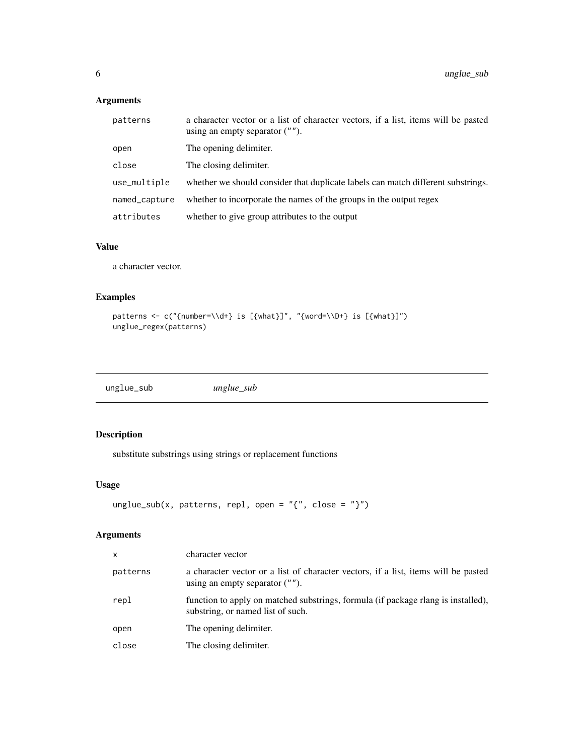# <span id="page-5-0"></span>Arguments

| patterns      | a character vector or a list of character vectors, if a list, items will be pasted<br>using an empty separator $("")$ . |
|---------------|-------------------------------------------------------------------------------------------------------------------------|
| open          | The opening delimiter.                                                                                                  |
| close         | The closing delimiter.                                                                                                  |
| use_multiple  | whether we should consider that duplicate labels can match different substrings.                                        |
| named_capture | whether to incorporate the names of the groups in the output regex                                                      |
| attributes    | whether to give group attributes to the output                                                                          |

# Value

a character vector.

#### Examples

```
patterns <- c("{number=\\d+} is [{what}]", "{word=\\D+} is [{what}]")
unglue_regex(patterns)
```
unglue\_sub *unglue\_sub*

# Description

substitute substrings using strings or replacement functions

# Usage

```
unglue_sub(x, patterns, repl, open = ''{'}, close = ''}")
```
# Arguments

| x        | character vector                                                                                                        |
|----------|-------------------------------------------------------------------------------------------------------------------------|
| patterns | a character vector or a list of character vectors, if a list, items will be pasted<br>using an empty separator $("")$ . |
| repl     | function to apply on matched substrings, formula (if package rlang is installed),<br>substring, or named list of such.  |
| open     | The opening delimiter.                                                                                                  |
| close    | The closing delimiter.                                                                                                  |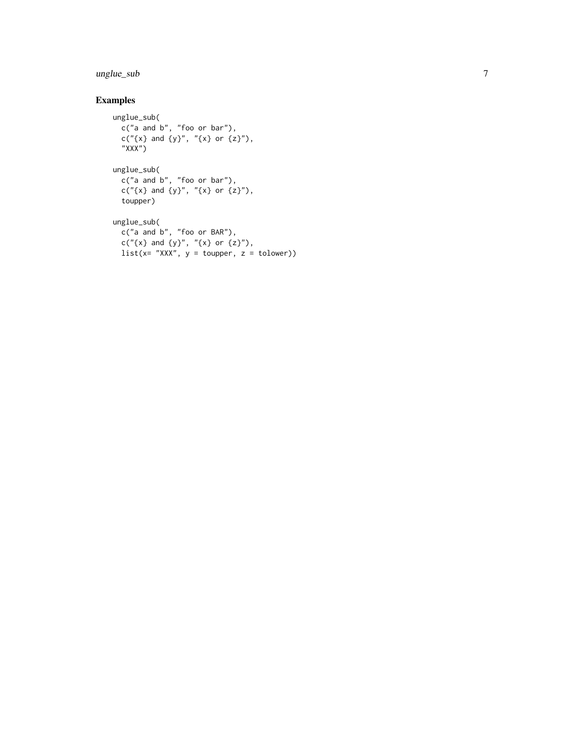#### unglue\_sub

# Examples

```
unglue_sub(
 c("a and b", "foo or bar"),
  c("{x} and {y}", "{x} or {z}"),
  "XXX")
unglue_sub(
  c("a and b", "foo or bar"),
  c("{x} and {y}", "{x} or {z}"),
  toupper)
unglue_sub(
 c("a and b", "foo or BAR"),
 c("{x} and {y}", "{x} or {z}"),
 list(x= "XXX", y = tower, z = tolower))
```